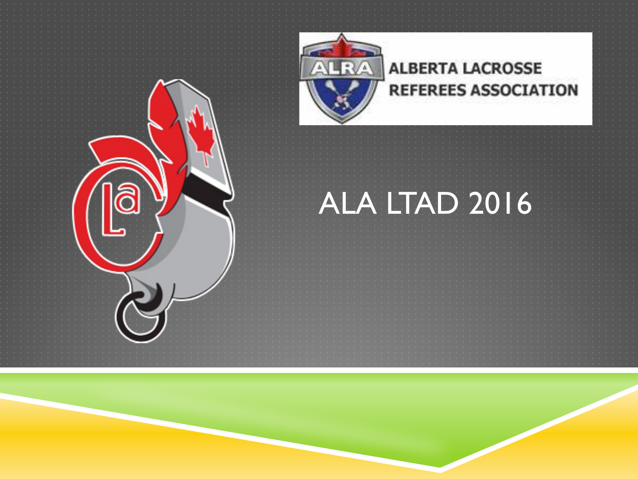

#### **ALBERTA LACROSSE REFEREES ASSOCIATION**

#### ALA LTAD 2016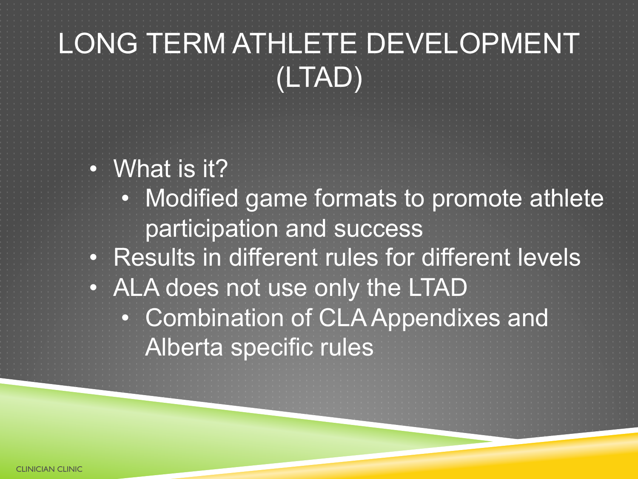#### LONG TERM ATHLETE DEVELOPMENT (LTAD)

- What is it?
	- Modified game formats to promote athlete participation and success
- Results in different rules for different levels
- ALA does not use only the LTAD
	- Combination of CLA Appendixes and Alberta specific rules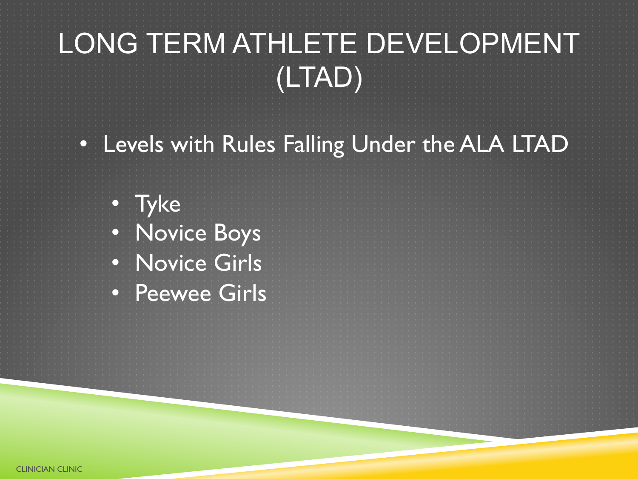#### LONG TERM ATHLETE DEVELOPMENT (LTAD)

• Levels with Rules Falling Under the ALA LTAD

• Tyke • Novice Boys • Novice Girls • Peewee Girls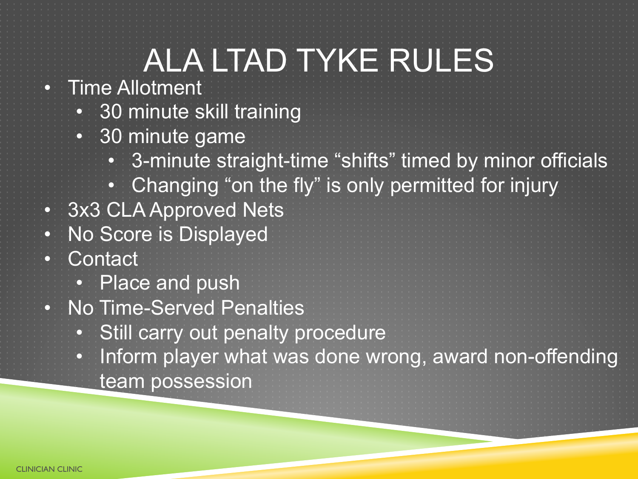• Time Allotment

- 30 minute skill training
- 30 minute game
	- 3-minute straight-time "shifts" timed by minor officials
	- Changing "on the fly" is only permitted for injury
- 3x3 CLA Approved Nets
- No Score is Displayed
- Contact
	- Place and push
- No Time-Served Penalties
	- Still carry out penalty procedure
		- Inform player what was done wrong, award non-offending team possession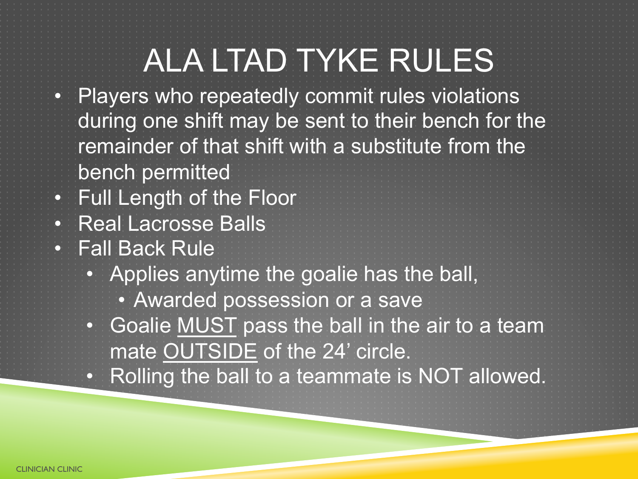- Players who repeatedly commit rules violations during one shift may be sent to their bench for the remainder of that shift with a substitute from the bench permitted
- Full Length of the Floor
- Real Lacrosse Balls
- Fall Back Rule
	- Applies anytime the goalie has the ball,
		- Awarded possession or a save
	- Goalie MUST pass the ball in the air to a team mate OUTSIDE of the 24' circle.
	- Rolling the ball to a teammate is NOT allowed.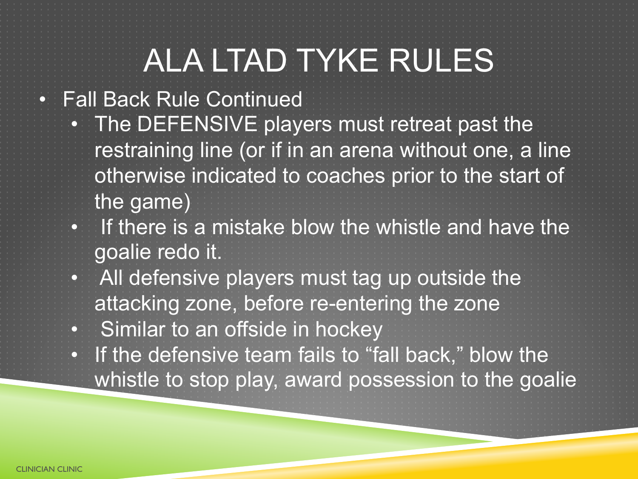#### • Fall Back Rule Continued

- The DEFENSIVE players must retreat past the restraining line (or if in an arena without one, a line otherwise indicated to coaches prior to the start of the game)
- If there is a mistake blow the whistle and have the goalie redo it.
- All defensive players must tag up outside the attacking zone, before re-entering the zone
- Similar to an offside in hockey
- If the defensive team fails to "fall back," blow the whistle to stop play, award possession to the goalie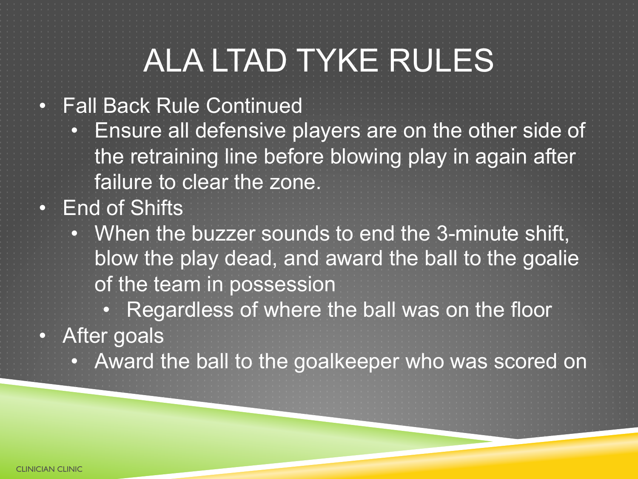- Fall Back Rule Continued
- Ensure all defensive players are on the other side of the retraining line before blowing play in again after failure to clear the zone. • End of Shifts
	- When the buzzer sounds to end the 3-minute shift, blow the play dead, and award the ball to the goalie of the team in possession
		- Regardless of where the ball was on the floor
- After goals
	- Award the ball to the goalkeeper who was scored on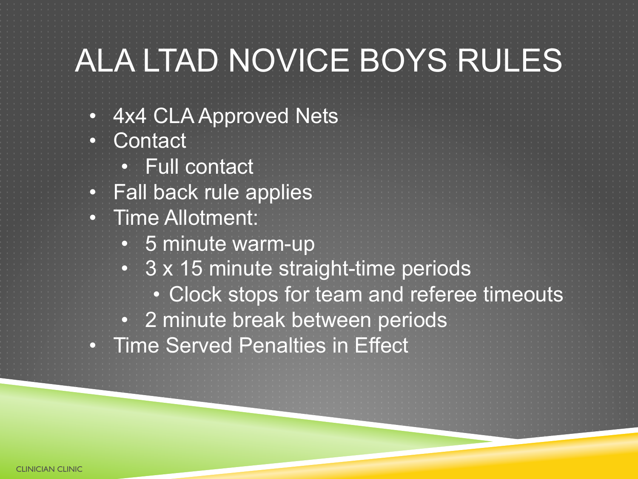## ALA LTAD NOVICE BOYS RULES

- 4x4 CLA Approved Nets • Contact
	- Full contact
- Fall back rule applies
- Time Allotment:
	- 5 minute warm-up
	- 3 x 15 minute straight-time periods
		- Clock stops for team and referee timeouts
	- 2 minute break between periods
- Time Served Penalties in Effect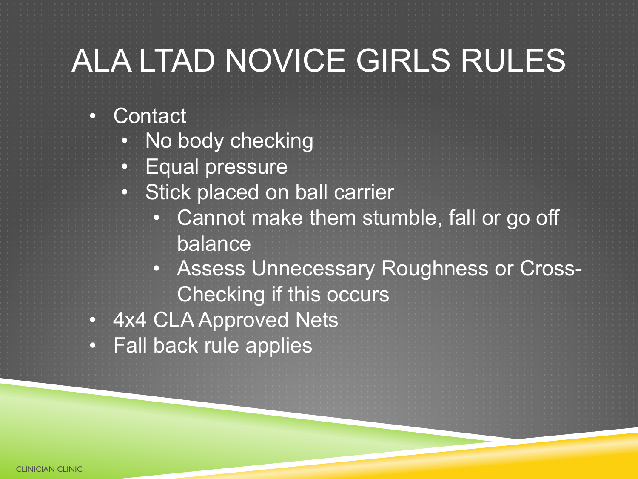## ALA LTAD NOVICE GIRLS RULES

#### • Contact

- No body checking
- Equal pressure
- Stick placed on ball carrier
	- Cannot make them stumble, fall or go off balance
	- Assess Unnecessary Roughness or Cross-Checking if this occurs
- 4x4 CLA Approved Nets
- Fall back rule applies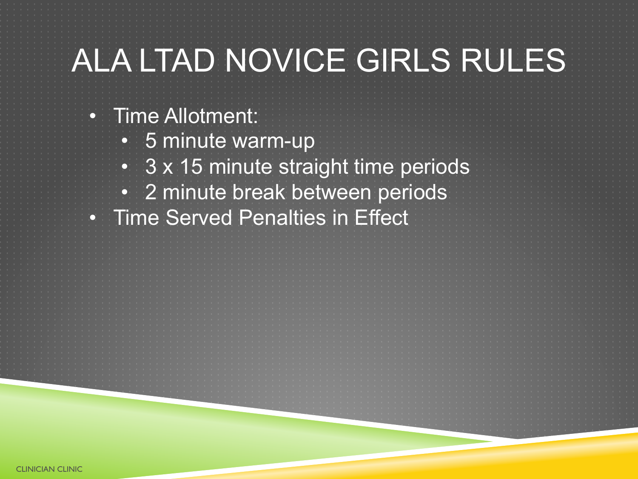## ALA LTAD NOVICE GIRLS RULES

- Time Allotment:
	- 5 minute warm-up
	- 3 x 15 minute straight time periods
	- 2 minute break between periods
- Time Served Penalties in Effect